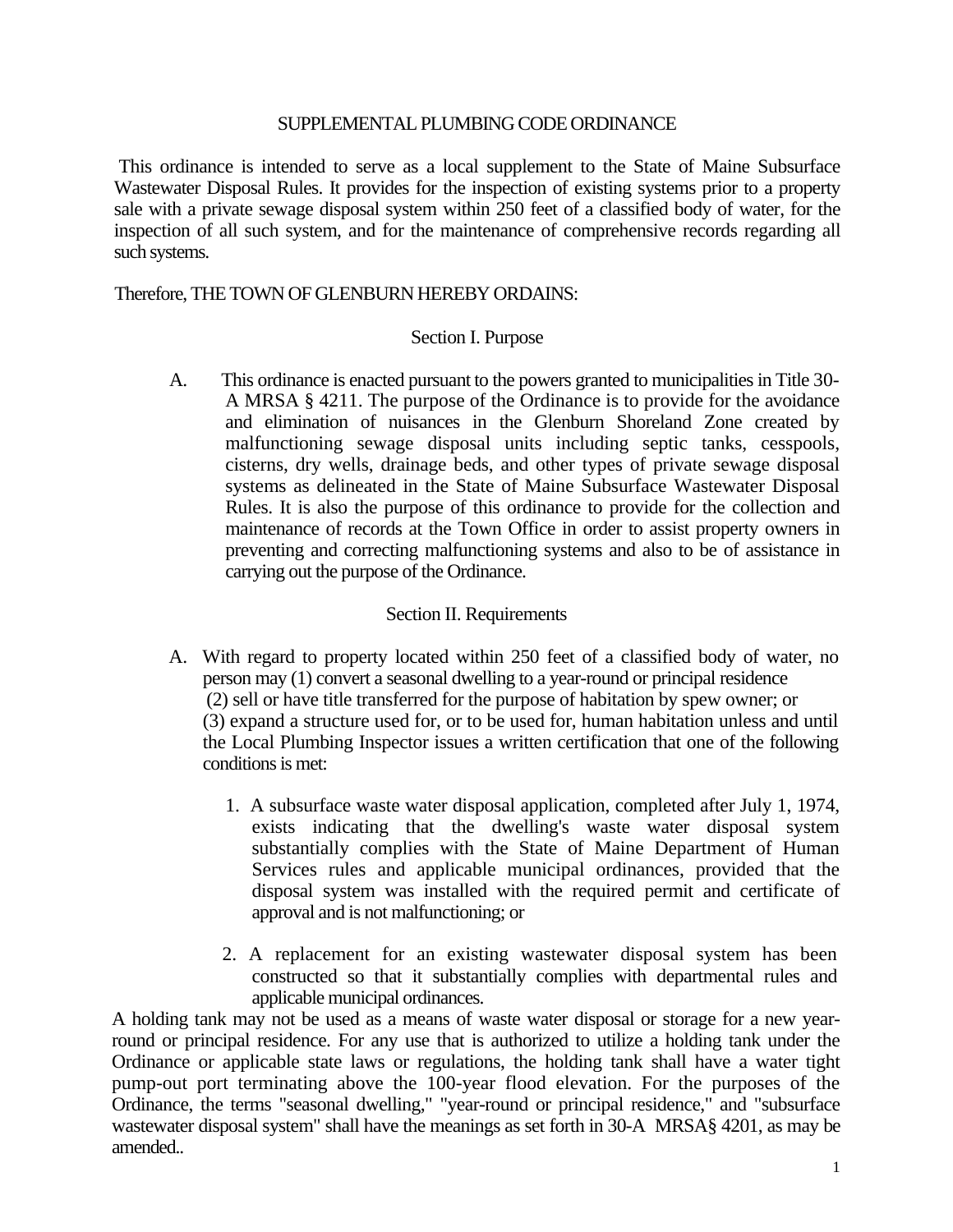#### SUPPLEMENTAL PLUMBING CODE ORDINANCE

This ordinance is intended to serve as a local supplement to the State of Maine Subsurface Wastewater Disposal Rules. It provides for the inspection of existing systems prior to a property sale with a private sewage disposal system within 250 feet of a classified body of water, for the inspection of all such system, and for the maintenance of comprehensive records regarding all such systems.

### Therefore, THE TOWN OF GLENBURN HEREBY ORDAINS:

### Section I. Purpose

A. This ordinance is enacted pursuant to the powers granted to municipalities in Title 30- A MRSA § 4211. The purpose of the Ordinance is to provide for the avoidance and elimination of nuisances in the Glenburn Shoreland Zone created by malfunctioning sewage disposal units including septic tanks, cesspools, cisterns, dry wells, drainage beds, and other types of private sewage disposal systems as delineated in the State of Maine Subsurface Wastewater Disposal Rules. It is also the purpose of this ordinance to provide for the collection and maintenance of records at the Town Office in order to assist property owners in preventing and correcting malfunctioning systems and also to be of assistance in carrying out the purpose of the Ordinance.

# Section II. Requirements

- A. With regard to property located within 250 feet of a classified body of water, no person may (1) convert a seasonal dwelling to a year-round or principal residence (2) sell or have title transferred for the purpose of habitation by spew owner; or (3) expand a structure used for, or to be used for, human habitation unless and until the Local Plumbing Inspector issues a written certification that one of the following conditions is met:
	- 1. A subsurface waste water disposal application, completed after July 1, 1974, exists indicating that the dwelling's waste water disposal system substantially complies with the State of Maine Department of Human Services rules and applicable municipal ordinances, provided that the disposal system was installed with the required permit and certificate of approval and is not malfunctioning; or
	- 2. A replacement for an existing wastewater disposal system has been constructed so that it substantially complies with departmental rules and applicable municipal ordinances.

A holding tank may not be used as a means of waste water disposal or storage for a new yearround or principal residence. For any use that is authorized to utilize a holding tank under the Ordinance or applicable state laws or regulations, the holding tank shall have a water tight pump-out port terminating above the 100-year flood elevation. For the purposes of the Ordinance, the terms "seasonal dwelling," "year-round or principal residence," and "subsurface wastewater disposal system" shall have the meanings as set forth in 30-A MRSA§ 4201, as may be amended..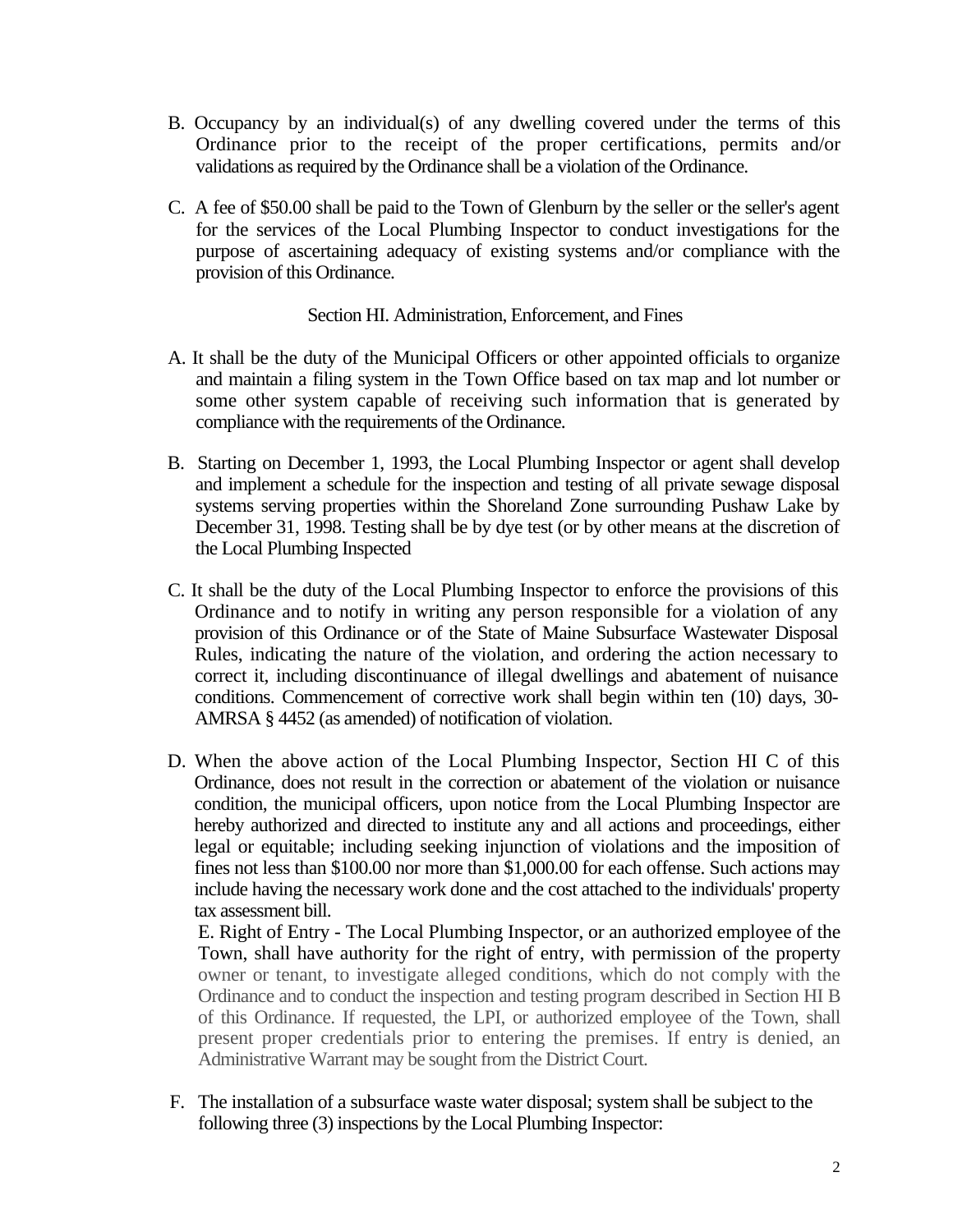- B. Occupancy by an individual(s) of any dwelling covered under the terms of this Ordinance prior to the receipt of the proper certifications, permits and/or validations as required by the Ordinance shall be a violation of the Ordinance.
- C. A fee of \$50.00 shall be paid to the Town of Glenburn by the seller or the seller's agent for the services of the Local Plumbing Inspector to conduct investigations for the purpose of ascertaining adequacy of existing systems and/or compliance with the provision of this Ordinance.

# Section HI. Administration, Enforcement, and Fines

- A. It shall be the duty of the Municipal Officers or other appointed officials to organize and maintain a filing system in the Town Office based on tax map and lot number or some other system capable of receiving such information that is generated by compliance with the requirements of the Ordinance.
- B. Starting on December 1, 1993, the Local Plumbing Inspector or agent shall develop and implement a schedule for the inspection and testing of all private sewage disposal systems serving properties within the Shoreland Zone surrounding Pushaw Lake by December 31, 1998. Testing shall be by dye test (or by other means at the discretion of the Local Plumbing Inspected
- C. It shall be the duty of the Local Plumbing Inspector to enforce the provisions of this Ordinance and to notify in writing any person responsible for a violation of any provision of this Ordinance or of the State of Maine Subsurface Wastewater Disposal Rules, indicating the nature of the violation, and ordering the action necessary to correct it, including discontinuance of illegal dwellings and abatement of nuisance conditions. Commencement of corrective work shall begin within ten (10) days, 30- AMRSA § 4452 (as amended) of notification of violation.
- D. When the above action of the Local Plumbing Inspector, Section HI C of this Ordinance, does not result in the correction or abatement of the violation or nuisance condition, the municipal officers, upon notice from the Local Plumbing Inspector are hereby authorized and directed to institute any and all actions and proceedings, either legal or equitable; including seeking injunction of violations and the imposition of fines not less than \$100.00 nor more than \$1,000.00 for each offense. Such actions may include having the necessary work done and the cost attached to the individuals' property tax assessment bill.

E. Right of Entry - The Local Plumbing Inspector, or an authorized employee of the Town, shall have authority for the right of entry, with permission of the property owner or tenant, to investigate alleged conditions, which do not comply with the Ordinance and to conduct the inspection and testing program described in Section HI B of this Ordinance. If requested, the LPI, or authorized employee of the Town, shall present proper credentials prior to entering the premises. If entry is denied, an Administrative Warrant may be sought from the District Court.

F. The installation of a subsurface waste water disposal; system shall be subject to the following three (3) inspections by the Local Plumbing Inspector: